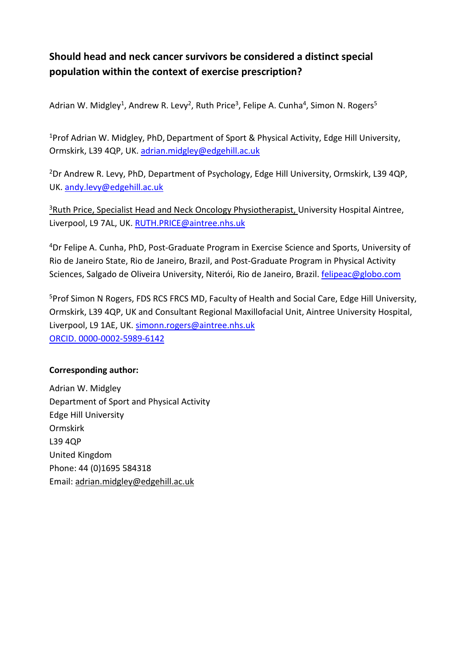# **Should head and neck cancer survivors be considered a distinct special population within the context of exercise prescription?**

Adrian W. Midgley<sup>1</sup>, Andrew R. Levy<sup>2</sup>, Ruth Price<sup>3</sup>, Felipe A. Cunha<sup>4</sup>, Simon N. Rogers<sup>5</sup>

<sup>1</sup>Prof Adrian W. Midgley, PhD, Department of Sport & Physical Activity, Edge Hill University, Ormskirk, L39 4QP, UK. [adrian.midgley@edgehill.ac.uk](mailto:adrian.midgley@edgehill.ac.uk)

2Dr Andrew R. Levy, PhD, Department of Psychology, Edge Hill University, Ormskirk, L39 4QP, UK. [andy.levy@edgehill.ac.uk](mailto:andy.levy@edgehill.ac.uk)

<sup>3</sup>Ruth Price, Specialist Head and Neck Oncology Physiotherapist, University Hospital Aintree, Liverpool, L9 7AL, UK. [RUTH.PRICE@aintree.nhs.uk](mailto:RUTH.PRICE@aintree.nhs.uk)

4Dr Felipe A. Cunha, PhD, Post-Graduate Program in Exercise Science and Sports, University of Rio de Janeiro State, Rio de Janeiro, Brazil, and Post-Graduate Program in Physical Activity Sciences, Salgado de Oliveira University, Niterói, Rio de Janeiro, Brazil. [felipeac@globo.com](mailto:felipeac@globo.com)

5Prof Simon N Rogers, FDS RCS FRCS MD, Faculty of Health and Social Care, Edge Hill University, Ormskirk, L39 4QP, UK and Consultant Regional Maxillofacial Unit, Aintree University Hospital, Liverpool, L9 1AE, UK. [simonn.rogers@aintree.nhs.uk](mailto:simonn.rogers@aintree.nhs.uk) ORCID. 0000-0002-5989-6142

# **Corresponding author:**

Adrian W. Midgley Department of Sport and Physical Activity Edge Hill University Ormskirk L39 4QP United Kingdom Phone: 44 (0)1695 584318 Email: [adrian.midgley@edgehill.ac.uk](mailto:adrian.midgley@edgehill.ac.uk)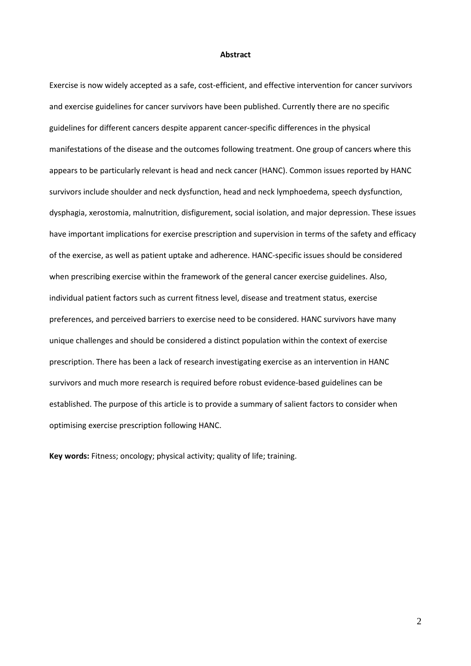#### **Abstract**

Exercise is now widely accepted as a safe, cost-efficient, and effective intervention for cancer survivors and exercise guidelines for cancer survivors have been published. Currently there are no specific guidelines for different cancers despite apparent cancer-specific differences in the physical manifestations of the disease and the outcomes following treatment. One group of cancers where this appears to be particularly relevant is head and neck cancer (HANC). Common issues reported by HANC survivors include shoulder and neck dysfunction, head and neck lymphoedema, speech dysfunction, dysphagia, xerostomia, malnutrition, disfigurement, social isolation, and major depression. These issues have important implications for exercise prescription and supervision in terms of the safety and efficacy of the exercise, as well as patient uptake and adherence. HANC-specific issues should be considered when prescribing exercise within the framework of the general cancer exercise guidelines. Also, individual patient factors such as current fitness level, disease and treatment status, exercise preferences, and perceived barriers to exercise need to be considered. HANC survivors have many unique challenges and should be considered a distinct population within the context of exercise prescription. There has been a lack of research investigating exercise as an intervention in HANC survivors and much more research is required before robust evidence-based guidelines can be established. The purpose of this article is to provide a summary of salient factors to consider when optimising exercise prescription following HANC.

**Key words:** Fitness; oncology; physical activity; quality of life; training.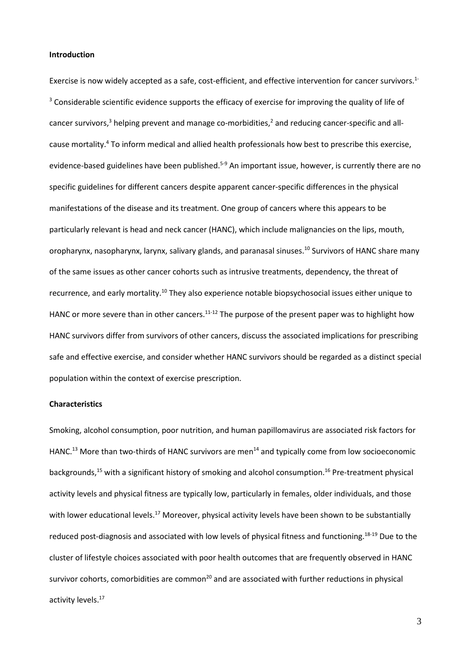#### **Introduction**

Exercise is now widely accepted as a safe, cost-efficient, and effective intervention for cancer survivors.<sup>1-</sup> <sup>3</sup> Considerable scientific evidence supports the efficacy of exercise for improving the quality of life of cancer survivors,<sup>3</sup> helping prevent and manage co-morbidities,<sup>2</sup> and reducing cancer-specific and allcause mortality.<sup>4</sup> To inform medical and allied health professionals how best to prescribe this exercise, evidence-based guidelines have been published.<sup>5-9</sup> An important issue, however, is currently there are no specific guidelines for different cancers despite apparent cancer-specific differences in the physical manifestations of the disease and its treatment. One group of cancers where this appears to be particularly relevant is head and neck cancer (HANC), which include malignancies on the lips, mouth, oropharynx, nasopharynx, larynx, salivary glands, and paranasal sinuses. <sup>10</sup> Survivors of HANC share many of the same issues as other cancer cohorts such as intrusive treatments, dependency, the threat of recurrence, and early mortality.<sup>10</sup> They also experience notable biopsychosocial issues either unique to HANC or more severe than in other cancers.<sup>11-12</sup> The purpose of the present paper was to highlight how HANC survivors differ from survivors of other cancers, discuss the associated implications for prescribing safe and effective exercise, and consider whether HANC survivors should be regarded as a distinct special population within the context of exercise prescription.

#### **Characteristics**

Smoking, alcohol consumption, poor nutrition, and human papillomavirus are associated risk factors for HANC.<sup>13</sup> More than two-thirds of HANC survivors are men<sup>14</sup> and typically come from low socioeconomic backgrounds,<sup>15</sup> with a significant history of smoking and alcohol consumption.<sup>16</sup> Pre-treatment physical activity levels and physical fitness are typically low, particularly in females, older individuals, and those with lower educational levels.<sup>17</sup> Moreover, physical activity levels have been shown to be substantially reduced post-diagnosis and associated with low levels of physical fitness and functioning.<sup>18-19</sup> Due to the cluster of lifestyle choices associated with poor health outcomes that are frequently observed in HANC survivor cohorts, comorbidities are common<sup>20</sup> and are associated with further reductions in physical activity levels. 17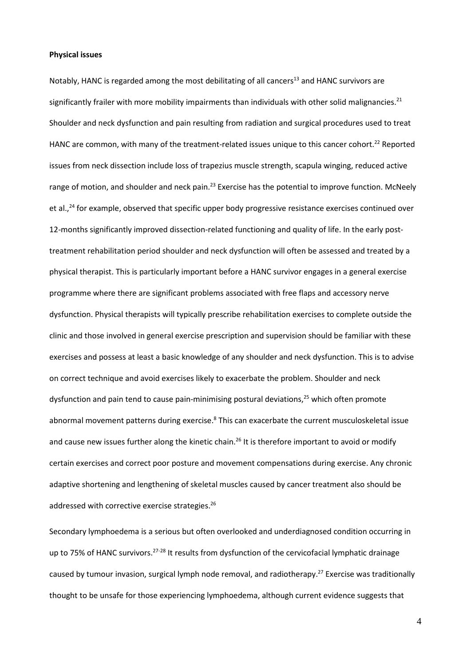#### **Physical issues**

Notably, HANC is regarded among the most debilitating of all cancers<sup>13</sup> and HANC survivors are significantly frailer with more mobility impairments than individuals with other solid malignancies.<sup>21</sup> Shoulder and neck dysfunction and pain resulting from radiation and surgical procedures used to treat HANC are common, with many of the treatment-related issues unique to this cancer cohort.<sup>22</sup> Reported issues from neck dissection include loss of trapezius muscle strength, scapula winging, reduced active range of motion, and shoulder and neck pain.<sup>23</sup> Exercise has the potential to improve function. McNeely et al.,<sup>24</sup> for example, observed that specific upper body progressive resistance exercises continued over 12-months significantly improved dissection-related functioning and quality of life. In the early posttreatment rehabilitation period shoulder and neck dysfunction will often be assessed and treated by a physical therapist. This is particularly important before a HANC survivor engages in a general exercise programme where there are significant problems associated with free flaps and accessory nerve dysfunction. Physical therapists will typically prescribe rehabilitation exercises to complete outside the clinic and those involved in general exercise prescription and supervision should be familiar with these exercises and possess at least a basic knowledge of any shoulder and neck dysfunction. This is to advise on correct technique and avoid exercises likely to exacerbate the problem. Shoulder and neck dysfunction and pain tend to cause pain-minimising postural deviations, <sup>25</sup> which often promote abnormal movement patterns during exercise.<sup>8</sup> This can exacerbate the current musculoskeletal issue and cause new issues further along the kinetic chain.<sup>26</sup> It is therefore important to avoid or modify certain exercises and correct poor posture and movement compensations during exercise. Any chronic adaptive shortening and lengthening of skeletal muscles caused by cancer treatment also should be addressed with corrective exercise strategies.<sup>26</sup>

Secondary lymphoedema is a serious but often overlooked and underdiagnosed condition occurring in up to 75% of HANC survivors.<sup>27-28</sup> It results from dysfunction of the cervicofacial lymphatic drainage caused by tumour invasion, surgical lymph node removal, and radiotherapy.<sup>27</sup> Exercise was traditionally thought to be unsafe for those experiencing lymphoedema, although current evidence suggests that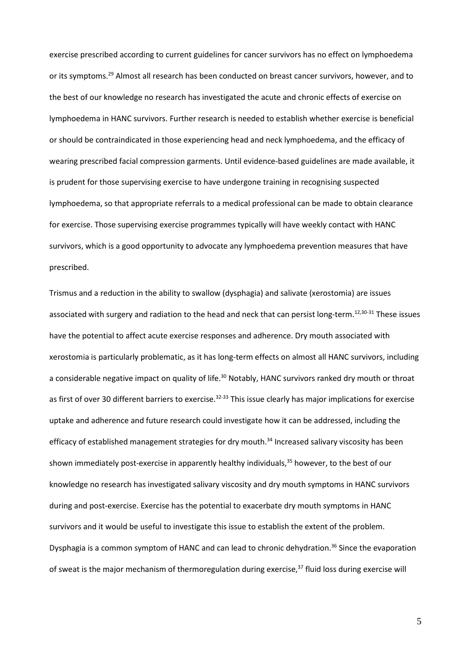exercise prescribed according to current guidelines for cancer survivors has no effect on lymphoedema or its symptoms.<sup>29</sup> Almost all research has been conducted on breast cancer survivors, however, and to the best of our knowledge no research has investigated the acute and chronic effects of exercise on lymphoedema in HANC survivors. Further research is needed to establish whether exercise is beneficial or should be contraindicated in those experiencing head and neck lymphoedema, and the efficacy of wearing prescribed facial compression garments. Until evidence-based guidelines are made available, it is prudent for those supervising exercise to have undergone training in recognising suspected lymphoedema, so that appropriate referrals to a medical professional can be made to obtain clearance for exercise. Those supervising exercise programmes typically will have weekly contact with HANC survivors, which is a good opportunity to advocate any lymphoedema prevention measures that have prescribed.

Trismus and a reduction in the ability to swallow (dysphagia) and salivate (xerostomia) are issues associated with surgery and radiation to the head and neck that can persist long-term.<sup>12,30-31</sup> These issues have the potential to affect acute exercise responses and adherence. Dry mouth associated with xerostomia is particularly problematic, as it has long-term effects on almost all HANC survivors, including a considerable negative impact on quality of life.<sup>30</sup> Notably, HANC survivors ranked dry mouth or throat as first of over 30 different barriers to exercise.<sup>32-33</sup> This issue clearly has major implications for exercise uptake and adherence and future research could investigate how it can be addressed, including the efficacy of established management strategies for dry mouth.<sup>34</sup> Increased salivary viscosity has been shown immediately post-exercise in apparently healthy individuals, <sup>35</sup> however, to the best of our knowledge no research has investigated salivary viscosity and dry mouth symptoms in HANC survivors during and post-exercise. Exercise has the potential to exacerbate dry mouth symptoms in HANC survivors and it would be useful to investigate this issue to establish the extent of the problem. Dysphagia is a common symptom of HANC and can lead to chronic dehydration.<sup>36</sup> Since the evaporation of sweat is the major mechanism of thermoregulation during exercise,<sup>37</sup> fluid loss during exercise will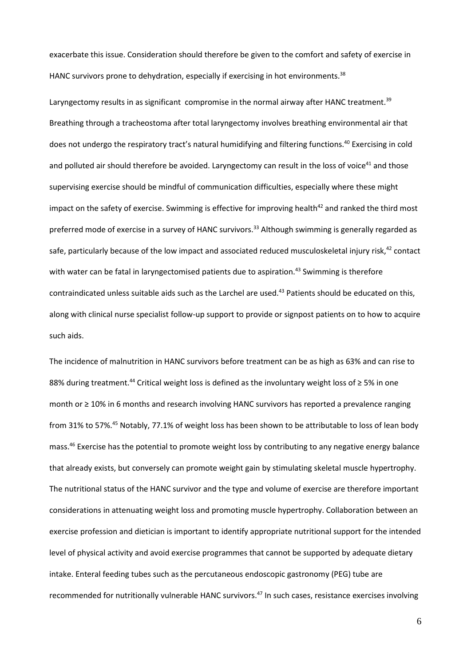exacerbate this issue. Consideration should therefore be given to the comfort and safety of exercise in HANC survivors prone to dehydration, especially if exercising in hot environments.<sup>38</sup>

Laryngectomy results in as significant compromise in the normal airway after HANC treatment.<sup>39</sup> Breathing through a tracheostoma after total laryngectomy involves breathing environmental air that does not undergo the respiratory tract's natural humidifying and filtering functions. <sup>40</sup> Exercising in cold and polluted air should therefore be avoided. Laryngectomy can result in the loss of voice<sup>41</sup> and those supervising exercise should be mindful of communication difficulties, especially where these might impact on the safety of exercise. Swimming is effective for improving health<sup>42</sup> and ranked the third most preferred mode of exercise in a survey of HANC survivors.<sup>33</sup> Although swimming is generally regarded as safe, particularly because of the low impact and associated reduced musculoskeletal injury risk,<sup>42</sup> contact with water can be fatal in laryngectomised patients due to aspiration.<sup>43</sup> Swimming is therefore contraindicated unless suitable aids such as the Larchel are used. <sup>43</sup> Patients should be educated on this, along with clinical nurse specialist follow-up support to provide or signpost patients on to how to acquire such aids.

The incidence of malnutrition in HANC survivors before treatment can be as high as 63% and can rise to 88% during treatment.<sup>44</sup> Critical weight loss is defined as the involuntary weight loss of  $\geq$  5% in one month or ≥ 10% in 6 months and research involving HANC survivors has reported a prevalence ranging from 31% to 57%.<sup>45</sup> Notably, 77.1% of weight loss has been shown to be attributable to loss of lean body mass. <sup>46</sup> Exercise has the potential to promote weight loss by contributing to any negative energy balance that already exists, but conversely can promote weight gain by stimulating skeletal muscle hypertrophy. The nutritional status of the HANC survivor and the type and volume of exercise are therefore important considerations in attenuating weight loss and promoting muscle hypertrophy. Collaboration between an exercise profession and dietician is important to identify appropriate nutritional support for the intended level of physical activity and avoid exercise programmes that cannot be supported by adequate dietary intake. Enteral feeding tubes such as the percutaneous endoscopic gastronomy (PEG) tube are recommended for nutritionally vulnerable HANC survivors. <sup>47</sup> In such cases, resistance exercises involving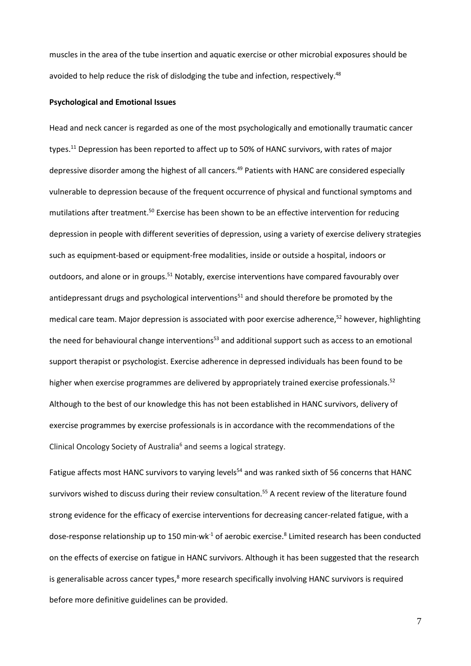muscles in the area of the tube insertion and aquatic exercise or other microbial exposures should be avoided to help reduce the risk of dislodging the tube and infection, respectively.<sup>48</sup>

#### **Psychological and Emotional Issues**

Head and neck cancer is regarded as one of the most psychologically and emotionally traumatic cancer types.<sup>11</sup> Depression has been reported to affect up to 50% of HANC survivors, with rates of major depressive disorder among the highest of all cancers.<sup>49</sup> Patients with HANC are considered especially vulnerable to depression because of the frequent occurrence of physical and functional symptoms and mutilations after treatment.<sup>50</sup> Exercise has been shown to be an effective intervention for reducing depression in people with different severities of depression, using a variety of exercise delivery strategies such as equipment-based or equipment-free modalities, inside or outside a hospital, indoors or outdoors, and alone or in groups.<sup>51</sup> Notably, exercise interventions have compared favourably over antidepressant drugs and psychological interventions<sup>51</sup> and should therefore be promoted by the medical care team. Major depression is associated with poor exercise adherence, <sup>52</sup> however, highlighting the need for behavioural change interventions<sup>53</sup> and additional support such as access to an emotional support therapist or psychologist. Exercise adherence in depressed individuals has been found to be higher when exercise programmes are delivered by appropriately trained exercise professionals.<sup>52</sup> Although to the best of our knowledge this has not been established in HANC survivors, delivery of exercise programmes by exercise professionals is in accordance with the recommendations of the Clinical Oncology Society of Australia<sup>6</sup> and seems a logical strategy.

Fatigue affects most HANC survivors to varying levels<sup>54</sup> and was ranked sixth of 56 concerns that HANC survivors wished to discuss during their review consultation.<sup>55</sup> A recent review of the literature found strong evidence for the efficacy of exercise interventions for decreasing cancer-related fatigue, with a dose-response relationship up to 150 min·wk<sup>-1</sup> of aerobic exercise.<sup>8</sup> Limited research has been conducted on the effects of exercise on fatigue in HANC survivors. Although it has been suggested that the research is generalisable across cancer types,<sup>8</sup> more research specifically involving HANC survivors is required before more definitive guidelines can be provided.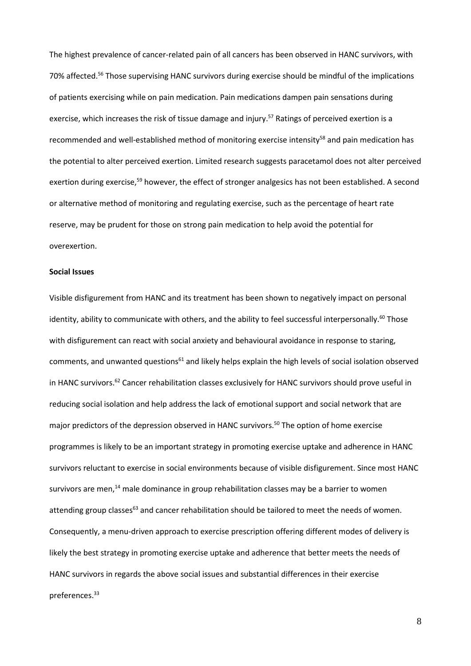The highest prevalence of cancer-related pain of all cancers has been observed in HANC survivors, with 70% affected.<sup>56</sup> Those supervising HANC survivors during exercise should be mindful of the implications of patients exercising while on pain medication. Pain medications dampen pain sensations during exercise, which increases the risk of tissue damage and injury.<sup>57</sup> Ratings of perceived exertion is a recommended and well-established method of monitoring exercise intensity<sup>58</sup> and pain medication has the potential to alter perceived exertion. Limited research suggests paracetamol does not alter perceived exertion during exercise,<sup>59</sup> however, the effect of stronger analgesics has not been established. A second or alternative method of monitoring and regulating exercise, such as the percentage of heart rate reserve, may be prudent for those on strong pain medication to help avoid the potential for overexertion.

#### **Social Issues**

Visible disfigurement from HANC and its treatment has been shown to negatively impact on personal identity, ability to communicate with others, and the ability to feel successful interpersonally.<sup>60</sup> Those with disfigurement can react with social anxiety and behavioural avoidance in response to staring, comments, and unwanted questions<sup>61</sup> and likely helps explain the high levels of social isolation observed in HANC survivors.<sup>62</sup> Cancer rehabilitation classes exclusively for HANC survivors should prove useful in reducing social isolation and help address the lack of emotional support and social network that are major predictors of the depression observed in HANC survivors. <sup>50</sup> The option of home exercise programmes is likely to be an important strategy in promoting exercise uptake and adherence in HANC survivors reluctant to exercise in social environments because of visible disfigurement. Since most HANC survivors are men,<sup>14</sup> male dominance in group rehabilitation classes may be a barrier to women attending group classes<sup>63</sup> and cancer rehabilitation should be tailored to meet the needs of women. Consequently, a menu-driven approach to exercise prescription offering different modes of delivery is likely the best strategy in promoting exercise uptake and adherence that better meets the needs of HANC survivors in regards the above social issues and substantial differences in their exercise preferences. 33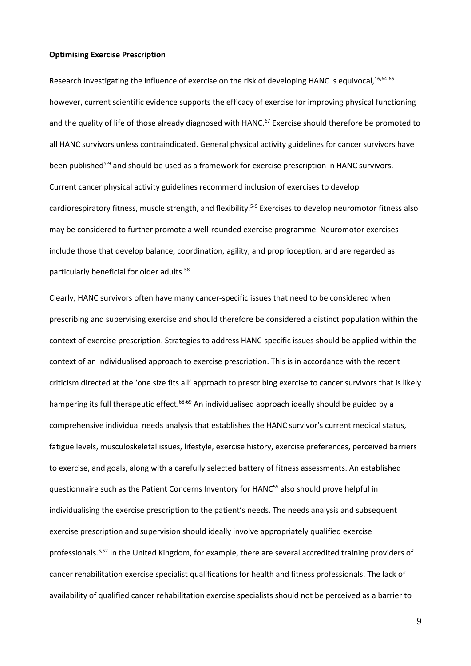#### **Optimising Exercise Prescription**

Research investigating the influence of exercise on the risk of developing HANC is equivocal, 16,64-66 however, current scientific evidence supports the efficacy of exercise for improving physical functioning and the quality of life of those already diagnosed with HANC.<sup>67</sup> Exercise should therefore be promoted to all HANC survivors unless contraindicated. General physical activity guidelines for cancer survivors have been published<sup>5-9</sup> and should be used as a framework for exercise prescription in HANC survivors. Current cancer physical activity guidelines recommend inclusion of exercises to develop cardiorespiratory fitness, muscle strength, and flexibility.<sup>5-9</sup> Exercises to develop neuromotor fitness also may be considered to further promote a well-rounded exercise programme. Neuromotor exercises include those that develop balance, coordination, agility, and proprioception, and are regarded as particularly beneficial for older adults.<sup>58</sup>

Clearly, HANC survivors often have many cancer-specific issues that need to be considered when prescribing and supervising exercise and should therefore be considered a distinct population within the context of exercise prescription. Strategies to address HANC-specific issues should be applied within the context of an individualised approach to exercise prescription. This is in accordance with the recent criticism directed at the 'one size fits all' approach to prescribing exercise to cancer survivors that is likely hampering its full therapeutic effect.<sup>68-69</sup> An individualised approach ideally should be guided by a comprehensive individual needs analysis that establishes the HANC survivor's current medical status, fatigue levels, musculoskeletal issues, lifestyle, exercise history, exercise preferences, perceived barriers to exercise, and goals, along with a carefully selected battery of fitness assessments. An established questionnaire such as the Patient Concerns Inventory for HANC<sup>55</sup> also should prove helpful in individualising the exercise prescription to the patient's needs. The needs analysis and subsequent exercise prescription and supervision should ideally involve appropriately qualified exercise professionals.<sup>6,52</sup> In the United Kingdom, for example, there are several accredited training providers of cancer rehabilitation exercise specialist qualifications for health and fitness professionals. The lack of availability of qualified cancer rehabilitation exercise specialists should not be perceived as a barrier to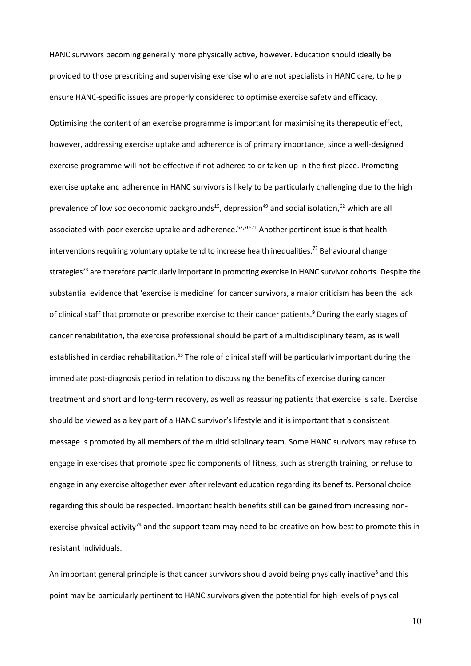HANC survivors becoming generally more physically active, however. Education should ideally be provided to those prescribing and supervising exercise who are not specialists in HANC care, to help ensure HANC-specific issues are properly considered to optimise exercise safety and efficacy.

Optimising the content of an exercise programme is important for maximising its therapeutic effect, however, addressing exercise uptake and adherence is of primary importance, since a well-designed exercise programme will not be effective if not adhered to or taken up in the first place. Promoting exercise uptake and adherence in HANC survivors is likely to be particularly challenging due to the high prevalence of low socioeconomic backgrounds<sup>15</sup>, depression<sup>49</sup> and social isolation,<sup>62</sup> which are all associated with poor exercise uptake and adherence. 52,70-71 Another pertinent issue is that health interventions requiring voluntary uptake tend to increase health inequalities.<sup>72</sup> Behavioural change strategies<sup>73</sup> are therefore particularly important in promoting exercise in HANC survivor cohorts. Despite the substantial evidence that 'exercise is medicine' for cancer survivors, a major criticism has been the lack of clinical staff that promote or prescribe exercise to their cancer patients.<sup>9</sup> During the early stages of cancer rehabilitation, the exercise professional should be part of a multidisciplinary team, as is well established in cardiac rehabilitation.<sup>63</sup> The role of clinical staff will be particularly important during the immediate post-diagnosis period in relation to discussing the benefits of exercise during cancer treatment and short and long-term recovery, as well as reassuring patients that exercise is safe. Exercise should be viewed as a key part of a HANC survivor's lifestyle and it is important that a consistent message is promoted by all members of the multidisciplinary team. Some HANC survivors may refuse to engage in exercises that promote specific components of fitness, such as strength training, or refuse to engage in any exercise altogether even after relevant education regarding its benefits. Personal choice regarding this should be respected. Important health benefits still can be gained from increasing nonexercise physical activity<sup>74</sup> and the support team may need to be creative on how best to promote this in resistant individuals.

An important general principle is that cancer survivors should avoid being physically inactive<sup>8</sup> and this point may be particularly pertinent to HANC survivors given the potential for high levels of physical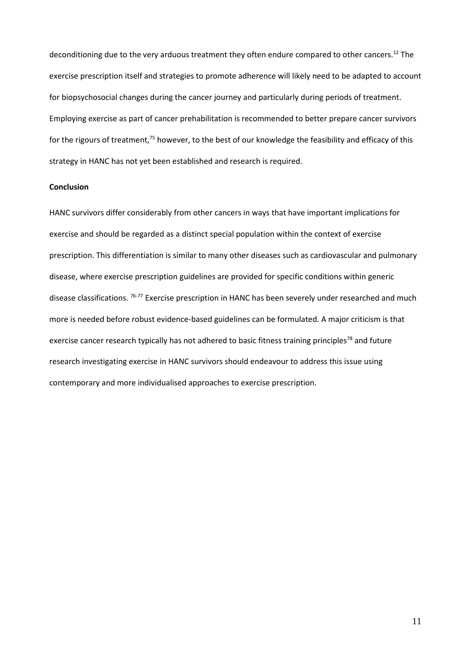deconditioning due to the very arduous treatment they often endure compared to other cancers.<sup>12</sup> The exercise prescription itself and strategies to promote adherence will likely need to be adapted to account for biopsychosocial changes during the cancer journey and particularly during periods of treatment. Employing exercise as part of cancer prehabilitation is recommended to better prepare cancer survivors for the rigours of treatment,<sup>75</sup> however, to the best of our knowledge the feasibility and efficacy of this strategy in HANC has not yet been established and research is required.

### **Conclusion**

HANC survivors differ considerably from other cancers in ways that have important implications for exercise and should be regarded as a distinct special population within the context of exercise prescription. This differentiation is similar to many other diseases such as cardiovascular and pulmonary disease, where exercise prescription guidelines are provided for specific conditions within generic disease classifications. <sup>76-77</sup> Exercise prescription in HANC has been severely under researched and much more is needed before robust evidence-based guidelines can be formulated. A major criticism is that exercise cancer research typically has not adhered to basic fitness training principles<sup>78</sup> and future research investigating exercise in HANC survivors should endeavour to address this issue using contemporary and more individualised approaches to exercise prescription.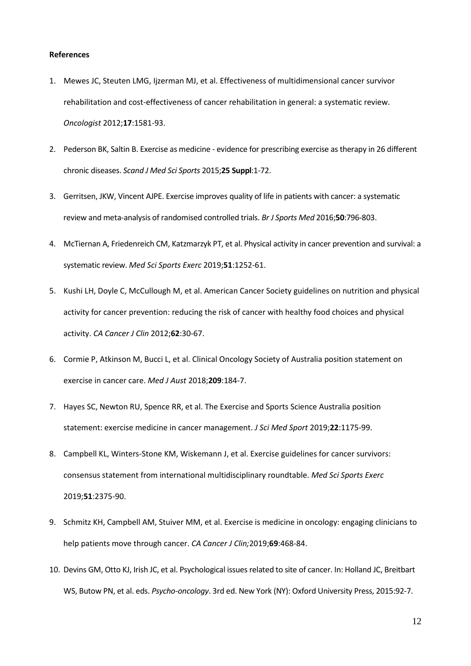#### **References**

- 1. Mewes JC, Steuten LMG, Ijzerman MJ, et al. Effectiveness of multidimensional cancer survivor rehabilitation and cost-effectiveness of cancer rehabilitation in general: a systematic review. *Oncologist* 2012;**17**:1581-93.
- 2. Pederson BK, Saltin B. Exercise as medicine evidence for prescribing exercise as therapy in 26 different chronic diseases. *Scand J Med Sci Sports* 2015;**25 Suppl**:1-72.
- 3. Gerritsen, JKW, Vincent AJPE. Exercise improves quality of life in patients with cancer: a systematic review and meta-analysis of randomised controlled trials. *Br J Sports Med* 2016;**50**:796-803.
- 4. McTiernan A, Friedenreich CM, Katzmarzyk PT, et al. Physical activity in cancer prevention and survival: a systematic review. *Med Sci Sports Exerc* 2019;**51**:1252-61.
- 5. Kushi LH, Doyle C, McCullough M, et al. American Cancer Society guidelines on nutrition and physical activity for cancer prevention: reducing the risk of cancer with healthy food choices and physical activity. *CA Cancer J Clin* 2012;**62**:30-67.
- 6. Cormie P, Atkinson M, Bucci L, et al. Clinical Oncology Society of Australia position statement on exercise in cancer care. *Med J Aust* 2018;**209**:184-7.
- 7. Hayes SC, Newton RU, Spence RR, et al. The Exercise and Sports Science Australia position statement: exercise medicine in cancer management. *J Sci Med Sport* 2019;**22**:1175-99.
- 8. Campbell KL, Winters-Stone KM, Wiskemann J, et al. Exercise guidelines for cancer survivors: consensus statement from international multidisciplinary roundtable. *Med Sci Sports Exerc*  2019;**51**:2375-90.
- 9. Schmitz KH, Campbell AM, Stuiver MM, et al. Exercise is medicine in oncology: engaging clinicians to help patients move through cancer. *CA Cancer J Clin;*2019;**69**:468-84.
- 10. Devins GM, Otto KJ, Irish JC, et al. Psychological issues related to site of cancer. In: Holland JC, Breitbart WS, Butow PN, et al. eds. *Psycho-oncology*. 3rd ed. New York (NY): Oxford University Press, 2015:92-7.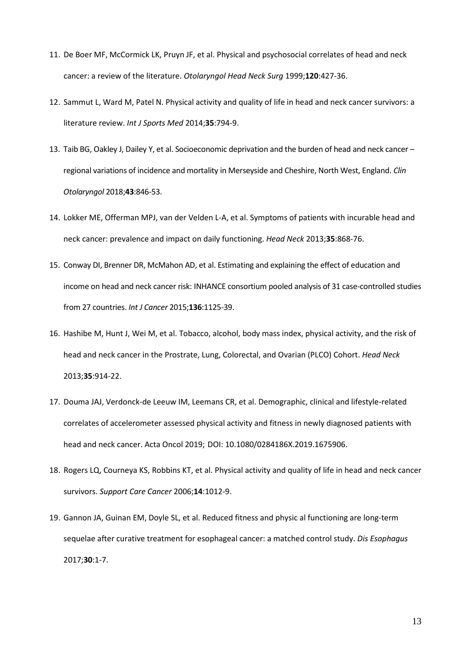- 11. De Boer MF, McCormick LK, Pruyn JF, et al. Physical and psychosocial correlates of head and neck cancer: a review of the literature. *Otolaryngol Head Neck Surg* 1999;**120**:427-36.
- 12. Sammut L, Ward M, Patel N. Physical activity and quality of life in head and neck cancer survivors: a literature review. *Int J Sports Med* 2014;**35**:794-9.
- 13. Taib BG, Oakley J, Dailey Y, et al. Socioeconomic deprivation and the burden of head and neck cancer regional variations of incidence and mortality in Merseyside and Cheshire, North West, England. *Clin Otolaryngol* 2018;**43**:846-53.
- 14. Lokker ME, Offerman MPJ, van der Velden L-A, et al. Symptoms of patients with incurable head and neck cancer: prevalence and impact on daily functioning. *Head Neck* 2013;**35**:868-76.
- 15. Conway DI, Brenner DR, McMahon AD, et al. Estimating and explaining the effect of education and income on head and neck cancer risk: INHANCE consortium pooled analysis of 31 case-controlled studies from 27 countries. *Int J Cancer* 2015;**136**:1125-39.
- 16. Hashibe M, Hunt J, Wei M, et al. Tobacco, alcohol, body mass index, physical activity, and the risk of head and neck cancer in the Prostrate, Lung, Colorectal, and Ovarian (PLCO) Cohort. *Head Neck* 2013;**35**:914-22.
- 17. Douma JAJ, Verdonck-de Leeuw IM, Leemans CR, et al. Demographic, clinical and lifestyle-related correlates of accelerometer assessed physical activity and fitness in newly diagnosed patients with head and neck cancer. Acta Oncol 2019; DOI: 10.1080/0284186X.2019.1675906.
- 18. Rogers LQ, Courneya KS, Robbins KT, et al. Physical activity and quality of life in head and neck cancer survivors. *Support Care Cancer* 2006;**14**:1012-9.
- 19. Gannon JA, Guinan EM, Doyle SL, et al. Reduced fitness and physic al functioning are long-term sequelae after curative treatment for esophageal cancer: a matched control study. *Dis Esophagus* 2017;**30**:1-7.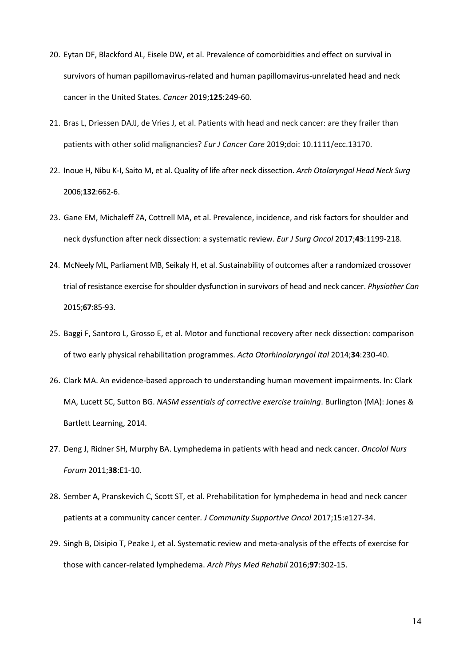- 20. Eytan DF, Blackford AL, Eisele DW, et al. Prevalence of comorbidities and effect on survival in survivors of human papillomavirus-related and human papillomavirus-unrelated head and neck cancer in the United States. *Cancer* 2019;**125**:249-60.
- 21. Bras L, Driessen DAJJ, de Vries J, et al. Patients with head and neck cancer: are they frailer than patients with other solid malignancies? *Eur J Cancer Care* 2019;doi: 10.1111/ecc.13170.
- 22. Inoue H, Nibu K-I, Saito M, et al. Quality of life after neck dissection. *Arch Otolaryngol Head Neck Surg* 2006;**132**:662-6.
- 23. Gane EM, Michaleff ZA, Cottrell MA, et al. Prevalence, incidence, and risk factors for shoulder and neck dysfunction after neck dissection: a systematic review. *Eur J Surg Oncol* 2017;**43**:1199-218.
- 24. McNeely ML, Parliament MB, Seikaly H, et al. Sustainability of outcomes after a randomized crossover trial of resistance exercise for shoulder dysfunction in survivors of head and neck cancer. *Physiother Can* 2015;**67**:85-93.
- 25. Baggi F, Santoro L, Grosso E, et al. Motor and functional recovery after neck dissection: comparison of two early physical rehabilitation programmes. *Acta Otorhinolaryngol Ital* 2014;**34**:230-40.
- 26. Clark MA. An evidence-based approach to understanding human movement impairments. In: Clark MA, Lucett SC, Sutton BG. *NASM essentials of corrective exercise training*. Burlington (MA): Jones & Bartlett Learning, 2014.
- 27. Deng J, Ridner SH, Murphy BA. Lymphedema in patients with head and neck cancer. *Oncolol Nurs Forum* 2011;**38**:E1-10.
- 28. Sember A, Pranskevich C, Scott ST, et al. Prehabilitation for lymphedema in head and neck cancer patients at a community cancer center. *J Community Supportive Oncol* 2017;15:e127-34.
- 29. Singh B, Disipio T, Peake J, et al. Systematic review and meta-analysis of the effects of exercise for those with cancer-related lymphedema. *Arch Phys Med Rehabil* 2016;**97**:302-15.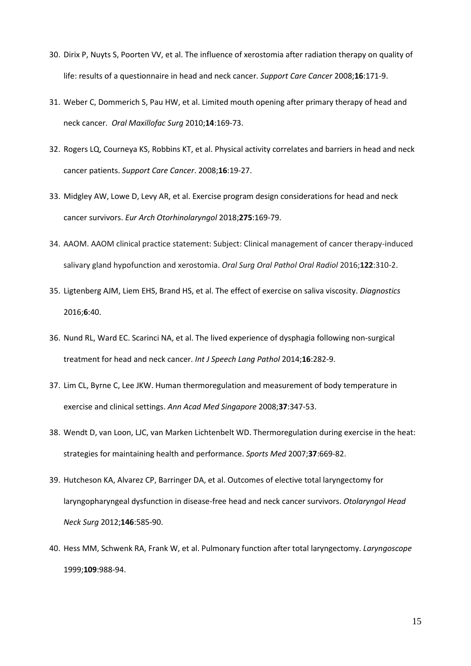- 30. Dirix P, Nuyts S, Poorten VV, et al. The influence of xerostomia after radiation therapy on quality of life: results of a questionnaire in head and neck cancer. *Support Care Cancer* 2008;**16**:171-9.
- 31. Weber C, Dommerich S, Pau HW, et al. Limited mouth opening after primary therapy of head and neck cancer. *Oral Maxillofac Surg* 2010;**14**:169-73.
- 32. Rogers LQ, Courneya KS, Robbins KT, et al. Physical activity correlates and barriers in head and neck cancer patients. *Support Care Cancer*. 2008;**16**:19-27.
- 33. Midgley AW, Lowe D, Levy AR, et al. Exercise program design considerations for head and neck cancer survivors. *Eur Arch Otorhinolaryngol* 2018;**275**:169-79.
- 34. AAOM. AAOM clinical practice statement: Subject: Clinical management of cancer therapy-induced salivary gland hypofunction and xerostomia. *Oral Surg Oral Pathol Oral Radiol* 2016;**122**:310-2.
- 35. Ligtenberg AJM, Liem EHS, Brand HS, et al. The effect of exercise on saliva viscosity. *Diagnostics* 2016;**6**:40.
- 36. Nund RL, Ward EC. Scarinci NA, et al. The lived experience of dysphagia following non-surgical treatment for head and neck cancer. *Int J Speech Lang Pathol* 2014;**16**:282-9.
- 37. Lim CL, Byrne C, Lee JKW. Human thermoregulation and measurement of body temperature in exercise and clinical settings. *Ann Acad Med Singapore* 2008;**37**:347-53.
- 38. Wendt D, van Loon, LJC, van Marken Lichtenbelt WD. Thermoregulation during exercise in the heat: strategies for maintaining health and performance. *Sports Med* 2007;**37**:669-82.
- 39. Hutcheson KA, Alvarez CP, Barringer DA, et al. Outcomes of elective total laryngectomy for laryngopharyngeal dysfunction in disease-free head and neck cancer survivors. *Otolaryngol Head Neck Surg* 2012;**146**:585-90.
- 40. Hess MM, Schwenk RA, Frank W, et al. Pulmonary function after total laryngectomy. *Laryngoscope* 1999;**109**:988-94.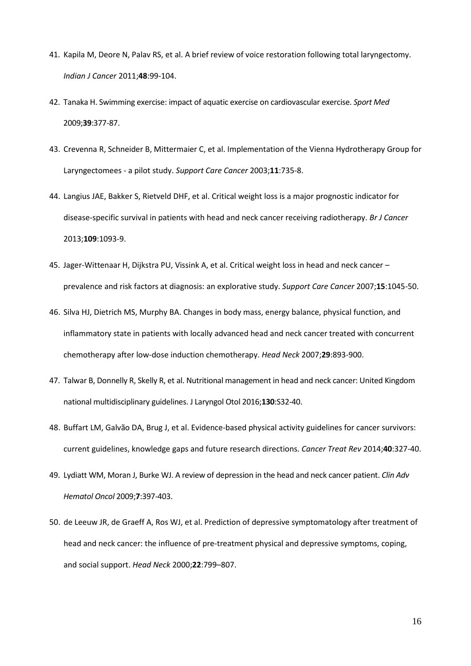- 41. Kapila M, Deore N, Palav RS, et al. A brief review of voice restoration following total laryngectomy. *Indian J Cancer* 2011;**48**:99-104.
- 42. Tanaka H. Swimming exercise: impact of aquatic exercise on cardiovascular exercise. *Sport Med* 2009;**39**:377-87.
- 43. Crevenna R, Schneider B, Mittermaier C, et al. Implementation of the Vienna Hydrotherapy Group for Laryngectomees - a pilot study. *Support Care Cancer* 2003;**11**:735-8.
- 44. Langius JAE, Bakker S, Rietveld DHF, et al. Critical weight loss is a major prognostic indicator for disease-specific survival in patients with head and neck cancer receiving radiotherapy. *Br J Cancer* 2013;**109**:1093-9.
- 45. Jager-Wittenaar H, Dijkstra PU, Vissink A, et al. Critical weight loss in head and neck cancer prevalence and risk factors at diagnosis: an explorative study. *Support Care Cancer* 2007;**15**:1045-50.
- 46. Silva HJ, Dietrich MS, Murphy BA. Changes in body mass, energy balance, physical function, and inflammatory state in patients with locally advanced head and neck cancer treated with concurrent chemotherapy after low-dose induction chemotherapy. *Head Neck* 2007;**29**:893-900.
- 47. Talwar B, Donnelly R, Skelly R, et al. Nutritional management in head and neck cancer: United Kingdom national multidisciplinary guidelines. J Laryngol Otol 2016;**130**:S32-40.
- 48. Buffart LM, Galvão DA, Brug J, et al. Evidence-based physical activity guidelines for cancer survivors: current guidelines, knowledge gaps and future research directions. *Cancer Treat Rev* 2014;**40**:327-40.
- 49. Lydiatt WM, Moran J, Burke WJ. A review of depression in the head and neck cancer patient. *Clin Adv Hematol Oncol* 2009;**7**:397-403.
- 50. de Leeuw JR, de Graeff A, Ros WJ, et al. Prediction of depressive symptomatology after treatment of head and neck cancer: the influence of pre-treatment physical and depressive symptoms, coping, and social support. *Head Neck* 2000;**22**:799–807.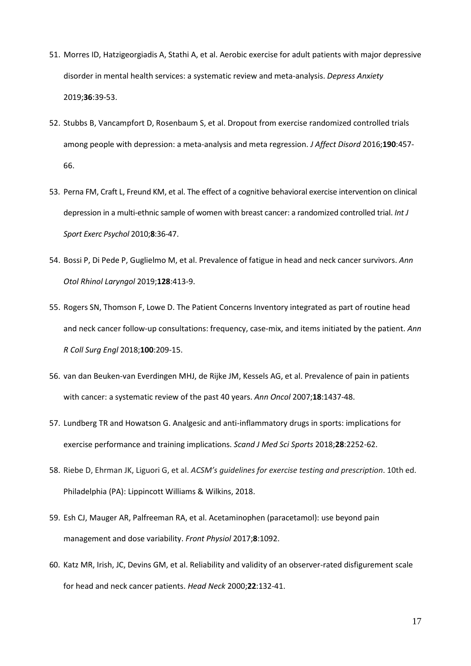- 51. Morres ID, Hatzigeorgiadis A, Stathi A, et al. Aerobic exercise for adult patients with major depressive disorder in mental health services: a systematic review and meta-analysis. *Depress Anxiety*  2019;**36**:39-53.
- 52. Stubbs B, Vancampfort D, Rosenbaum S, et al. Dropout from exercise randomized controlled trials among people with depression: a meta-analysis and meta regression. *J Affect Disord* 2016;**190**:457- 66.
- 53. Perna FM, Craft L, Freund KM, et al. The effect of a cognitive behavioral exercise intervention on clinical depression in a multi-ethnic sample of women with breast cancer: a randomized controlled trial. *Int J Sport Exerc Psychol* 2010;**8**:36-47.
- 54. Bossi P, Di Pede P, Guglielmo M, et al. Prevalence of fatigue in head and neck cancer survivors. *Ann Otol Rhinol Laryngol* 2019;**128**:413-9.
- 55. Rogers SN, Thomson F, Lowe D. The Patient Concerns Inventory integrated as part of routine head and neck cancer follow-up consultations: frequency, case-mix, and items initiated by the patient. *Ann R Coll Surg Engl* 2018;**100**:209-15.
- 56. van dan Beuken-van Everdingen MHJ, de Rijke JM, Kessels AG, et al. Prevalence of pain in patients with cancer: a systematic review of the past 40 years. *Ann Oncol* 2007;**18**:1437-48.
- 57. Lundberg TR and Howatson G. Analgesic and anti-inflammatory drugs in sports: implications for exercise performance and training implications. *Scand J Med Sci Sports* 2018;**28**:2252-62.
- 58. Riebe D, Ehrman JK, Liguori G, et al. *ACSM's guidelines for exercise testing and prescription*. 10th ed. Philadelphia (PA): Lippincott Williams & Wilkins, 2018.
- 59. Esh CJ, Mauger AR, Palfreeman RA, et al. Acetaminophen (paracetamol): use beyond pain management and dose variability. *Front Physiol* 2017;**8**:1092.
- 60. Katz MR, Irish, JC, Devins GM, et al. Reliability and validity of an observer-rated disfigurement scale for head and neck cancer patients. *Head Neck* 2000;**22**:132-41.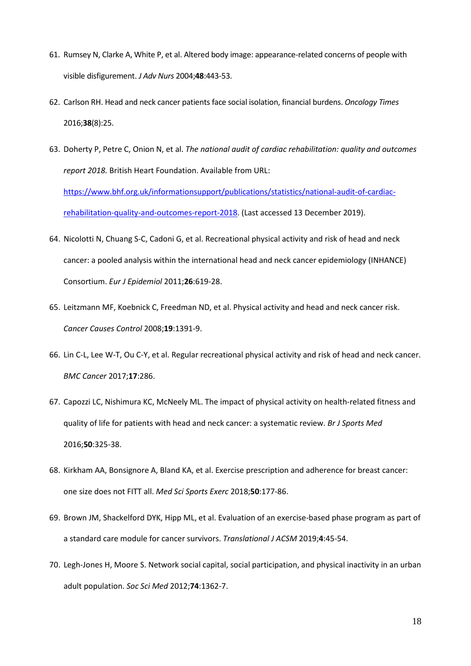- 61. Rumsey N, Clarke A, White P, et al. Altered body image: appearance-related concerns of people with visible disfigurement. *J Adv Nurs* 2004;**48**:443-53.
- 62. Carlson RH. Head and neck cancer patients face social isolation, financial burdens. *Oncology Times* 2016;**38**(8):25.
- 63. Doherty P, Petre C, Onion N, et al. *The national audit of cardiac rehabilitation: quality and outcomes report 2018.* British Heart Foundation. Available from URL: [https://www.bhf.org.uk/informationsupport/publications/statistics/national-audit-of-cardiac](https://www.bhf.org.uk/informationsupport/publications/statistics/national-audit-of-cardiac-rehabilitation-quality-and-outcomes-report-2018)[rehabilitation-quality-and-outcomes-report-2018.](https://www.bhf.org.uk/informationsupport/publications/statistics/national-audit-of-cardiac-rehabilitation-quality-and-outcomes-report-2018) (Last accessed 13 December 2019).
- 64. Nicolotti N, Chuang S-C, Cadoni G, et al. Recreational physical activity and risk of head and neck cancer: a pooled analysis within the international head and neck cancer epidemiology (INHANCE) Consortium. *Eur J Epidemiol* 2011;**26**:619-28.
- 65. Leitzmann MF, Koebnick C, Freedman ND, et al. Physical activity and head and neck cancer risk. *Cancer Causes Control* 2008;**19**:1391-9.
- 66. Lin C-L, Lee W-T, Ou C-Y, et al. Regular recreational physical activity and risk of head and neck cancer. *BMC Cancer* 2017;**17**:286.
- 67. Capozzi LC, Nishimura KC, McNeely ML. The impact of physical activity on health-related fitness and quality of life for patients with head and neck cancer: a systematic review. *Br J Sports Med* 2016;**50**:325-38.
- 68. Kirkham AA, Bonsignore A, Bland KA, et al. Exercise prescription and adherence for breast cancer: one size does not FITT all. *Med Sci Sports Exerc* 2018;**50**:177-86.
- 69. Brown JM, Shackelford DYK, Hipp ML, et al. Evaluation of an exercise-based phase program as part of a standard care module for cancer survivors. *Translational J ACSM* 2019;**4**:45-54.
- 70. Legh-Jones H, Moore S. Network social capital, social participation, and physical inactivity in an urban adult population. *Soc Sci Med* 2012;**74**:1362-7.